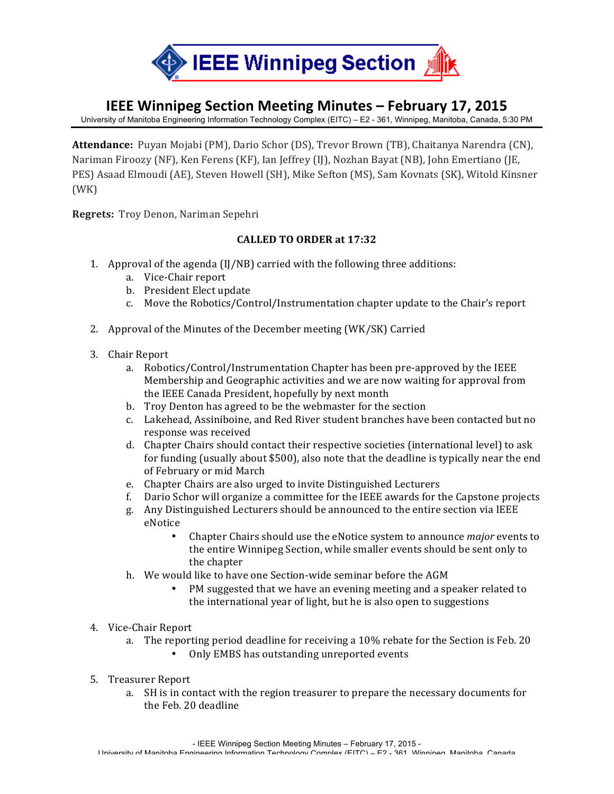

## **IEEE Winnipeg Section Meeting Minutes – February 17, 2015**

University of Manitoba Engineering Information Technology Complex (EITC) – E2 - 361, Winnipeg, Manitoba, Canada, 5:30 PM

**Attendance:** Puyan Mojabi (PM), Dario Schor (DS), Trevor Brown (TB), Chaitanya Narendra (CN), Nariman Firoozy (NF), Ken Ferens (KF), Ian Jeffrey (IJ), Nozhan Bayat (NB), John Emertiano (JE, PES) Asaad Elmoudi (AE), Steven Howell (SH), Mike Sefton (MS), Sam Kovnats (SK), Witold Kinsner (WK)

**Regrets:** Troy Denon, Nariman Sepehri

## **CALLED TO ORDER at 17:32**

- 1. Approval of the agenda (IJ/NB) carried with the following three additions:
	- a. Vice-Chair report
	- b. President Elect update
	- c. Move the Robotics/Control/Instrumentation chapter update to the Chair's report
- 2. Approval of the Minutes of the December meeting (WK/SK) Carried
- 3. Chair Report
	- a. Robotics/Control/Instrumentation Chapter has been pre-approved by the IEEE Membership and Geographic activities and we are now waiting for approval from the IEEE Canada President, hopefully by next month
	- b. Troy Denton has agreed to be the webmaster for the section
	- c. Lakehead, Assiniboine, and Red River student branches have been contacted but no response was received
	- d. Chapter Chairs should contact their respective societies (international level) to ask for funding (usually about \$500), also note that the deadline is typically near the end of February or mid March
	- e. Chapter Chairs are also urged to invite Distinguished Lecturers
	- f. Dario Schor will organize a committee for the IEEE awards for the Capstone projects
	- g. Any Distinguished Lecturers should be announced to the entire section via IEEE eNotice
		- Chapter Chairs should use the eNotice system to announce *major* events to the entire Winnipeg Section, while smaller events should be sent only to the chapter
	- h. We would like to have one Section-wide seminar before the AGM
		- PM suggested that we have an evening meeting and a speaker related to the international year of light, but he is also open to suggestions
- 4. Vice-Chair Report
	- a. The reporting period deadline for receiving a  $10\%$  rebate for the Section is Feb. 20
		- Only EMBS has outstanding unreported events
- 5. Treasurer Report
	- a. SH is in contact with the region treasurer to prepare the necessary documents for the Feb. 20 deadline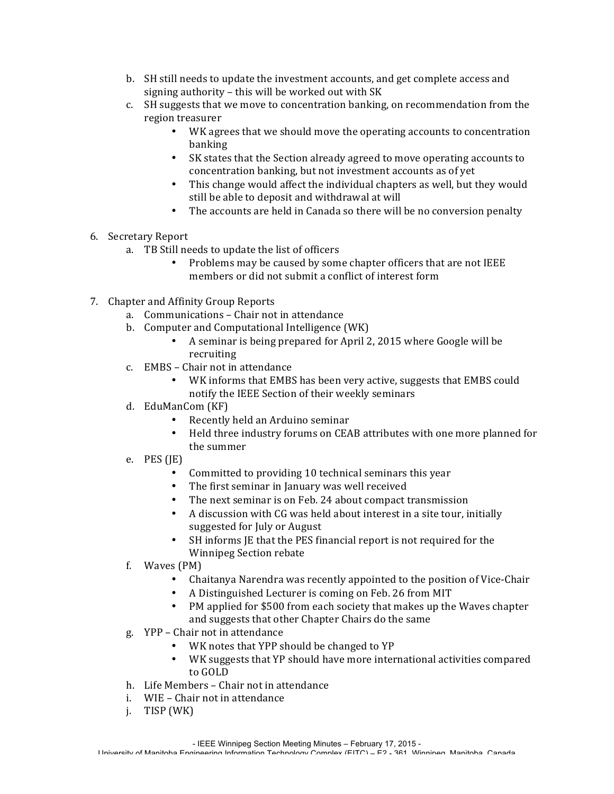- b. SH still needs to update the investment accounts, and get complete access and signing authority  $-$  this will be worked out with SK
- c. SH suggests that we move to concentration banking, on recommendation from the region treasurer
	- WK agrees that we should move the operating accounts to concentration banking
	- SK states that the Section already agreed to move operating accounts to concentration banking, but not investment accounts as of yet
	- This change would affect the individual chapters as well, but they would still be able to deposit and withdrawal at will
	- The accounts are held in Canada so there will be no conversion penalty
- 6. Secretary Report
	- a. TB Still needs to update the list of officers
		- Problems may be caused by some chapter officers that are not IEEE members or did not submit a conflict of interest form
- 7. Chapter and Affinity Group Reports
	- a. Communications Chair not in attendance
	- b. Computer and Computational Intelligence (WK)
		- A seminar is being prepared for April 2, 2015 where Google will be recruiting
	- c. EMBS Chair not in attendance
		- WK informs that EMBS has been very active, suggests that EMBS could notify the IEEE Section of their weekly seminars
	- d. EduManCom (KF)
		- Recently held an Arduino seminar
		- Held three industry forums on CEAB attributes with one more planned for the summer
	- e. PES  $(IE)$ 
		- Committed to providing 10 technical seminars this year
		- The first seminar in January was well received
		- The next seminar is on Feb. 24 about compact transmission
		- A discussion with CG was held about interest in a site tour, initially suggested for July or August
		- SH informs JE that the PES financial report is not required for the Winnipeg Section rebate
	- $f.$  Waves  $(PM)$ 
		- Chaitanya Narendra was recently appointed to the position of Vice-Chair
		- A Distinguished Lecturer is coming on Feb. 26 from MIT
		- PM applied for \$500 from each society that makes up the Waves chapter and suggests that other Chapter Chairs do the same
	- g. YPP Chair not in attendance
		- WK notes that YPP should be changed to YP
		- WK suggests that YP should have more international activities compared to GOLD
	- h. Life Members Chair not in attendance
	- i. WIE Chair not in attendance
	- $j.$  TISP (WK)